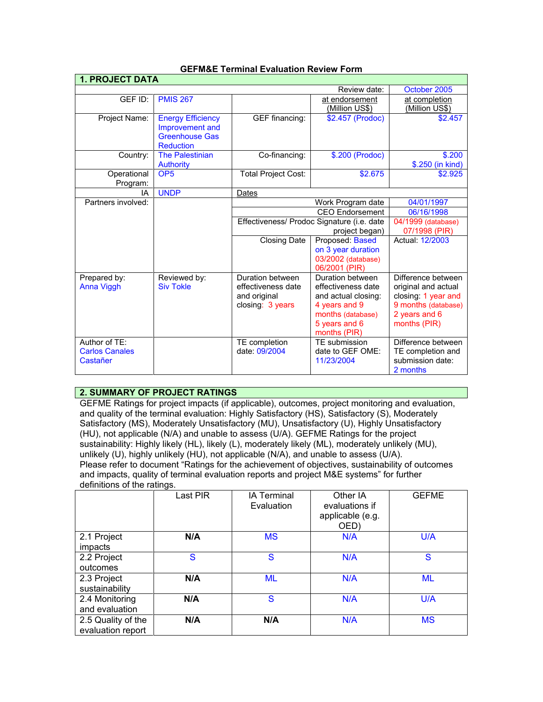| <b>1. PROJECT DATA</b>                             |                                                                                          |                                                                            |                                                                                                                                      |                                                                                                                          |  |
|----------------------------------------------------|------------------------------------------------------------------------------------------|----------------------------------------------------------------------------|--------------------------------------------------------------------------------------------------------------------------------------|--------------------------------------------------------------------------------------------------------------------------|--|
|                                                    | Review date:                                                                             |                                                                            |                                                                                                                                      | October 2005                                                                                                             |  |
| GEF ID:                                            | <b>PMIS 267</b>                                                                          |                                                                            | at endorsement<br>(Million US\$)                                                                                                     | at completion<br>(Million US\$)                                                                                          |  |
| Project Name:                                      | <b>Energy Efficiency</b><br>Improvement and<br><b>Greenhouse Gas</b><br><b>Reduction</b> | GEF financing:                                                             | \$2.457 (Prodoc)                                                                                                                     | \$2.457                                                                                                                  |  |
| Country:                                           | <b>The Palestinian</b><br><b>Authority</b>                                               | Co-financing:                                                              | \$.200 (Prodoc)                                                                                                                      | \$.200<br>\$.250 (in kind)                                                                                               |  |
| Operational<br>Program:                            | OP <sub>5</sub>                                                                          | <b>Total Project Cost:</b>                                                 | \$2.675                                                                                                                              | \$2.925                                                                                                                  |  |
| IA                                                 | <b>UNDP</b>                                                                              | Dates                                                                      |                                                                                                                                      |                                                                                                                          |  |
| Partners involved:                                 |                                                                                          | Work Program date                                                          |                                                                                                                                      | 04/01/1997                                                                                                               |  |
|                                                    |                                                                                          |                                                                            | <b>CEO</b> Endorsement                                                                                                               |                                                                                                                          |  |
|                                                    |                                                                                          | Effectiveness/ Prodoc Signature (i.e. date                                 |                                                                                                                                      | 04/1999 (database)                                                                                                       |  |
|                                                    |                                                                                          |                                                                            | project began)                                                                                                                       |                                                                                                                          |  |
|                                                    |                                                                                          | Closing Date                                                               | Proposed: Based                                                                                                                      | Actual: 12/2003                                                                                                          |  |
|                                                    |                                                                                          |                                                                            | on 3 year duration<br>03/2002 (database)<br>06/2001 (PIR)                                                                            |                                                                                                                          |  |
| Prepared by:<br>Anna Viggh                         | Reviewed by:<br><b>Siv Tokle</b>                                                         | Duration between<br>effectiveness date<br>and original<br>closing: 3 years | Duration between<br>effectiveness date<br>and actual closing:<br>4 years and 9<br>months (database)<br>5 years and 6<br>months (PIR) | Difference between<br>original and actual<br>closing: 1 year and<br>9 months (database)<br>2 years and 6<br>months (PIR) |  |
| Author of TE:<br><b>Carlos Canales</b><br>Castañer |                                                                                          | TE completion<br>date: 09/2004                                             | TE submission<br>date to GEF OME:<br>11/23/2004                                                                                      | Difference between<br>TE completion and<br>submission date:<br>2 months                                                  |  |

### **GEFM&E Terminal Evaluation Review Form**

# **2. SUMMARY OF PROJECT RATINGS**

GEFME Ratings for project impacts (if applicable), outcomes, project monitoring and evaluation, and quality of the terminal evaluation: Highly Satisfactory (HS), Satisfactory (S), Moderately Satisfactory (MS), Moderately Unsatisfactory (MU), Unsatisfactory (U), Highly Unsatisfactory (HU), not applicable (N/A) and unable to assess (U/A). GEFME Ratings for the project sustainability: Highly likely (HL), likely (L), moderately likely (ML), moderately unlikely (MU), unlikely (U), highly unlikely (HU), not applicable (N/A), and unable to assess (U/A). Please refer to document "Ratings for the achievement of objectives, sustainability of outcomes and impacts, quality of terminal evaluation reports and project M&E systems" for further definitions of the ratings.

|                                         | Last PIR | <b>IA Terminal</b><br>Evaluation | Other IA<br>evaluations if<br>applicable (e.g.<br>OED) | <b>GEFME</b> |
|-----------------------------------------|----------|----------------------------------|--------------------------------------------------------|--------------|
| 2.1 Project<br>impacts                  | N/A      | <b>MS</b>                        | N/A                                                    | U/A          |
| 2.2 Project<br>outcomes                 | S        | S                                | N/A                                                    | S            |
| 2.3 Project<br>sustainability           | N/A      | <b>ML</b>                        | N/A                                                    | <b>ML</b>    |
| 2.4 Monitoring<br>and evaluation        | N/A      | S                                | N/A                                                    | U/A          |
| 2.5 Quality of the<br>evaluation report | N/A      | N/A                              | N/A                                                    | <b>MS</b>    |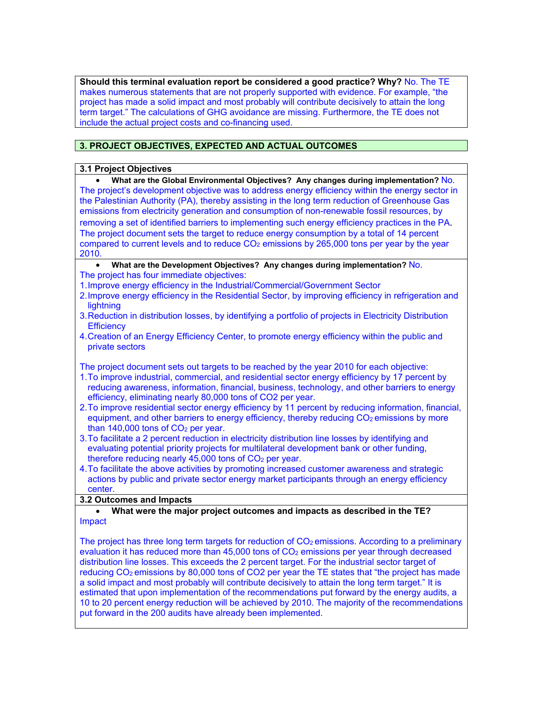**Should this terminal evaluation report be considered a good practice? Why?** No. The TE makes numerous statements that are not properly supported with evidence. For example, "the project has made a solid impact and most probably will contribute decisively to attain the long term target." The calculations of GHG avoidance are missing. Furthermore, the TE does not include the actual project costs and co-financing used.

# **3. PROJECT OBJECTIVES, EXPECTED AND ACTUAL OUTCOMES**

#### **3.1 Project Objectives**

• **What are the Global Environmental Objectives? Any changes during implementation?** No. The project's development objective was to address energy efficiency within the energy sector in the Palestinian Authority (PA), thereby assisting in the long term reduction of Greenhouse Gas emissions from electricity generation and consumption of non-renewable fossil resources, by removing a set of identified barriers to implementing such energy efficiency practices in the PA. The project document sets the target to reduce energy consumption by a total of 14 percent compared to current levels and to reduce  $CO<sub>2</sub>$  emissions by 265,000 tons per year by the year 2010. • **What are the Development Objectives? Any changes during implementation?** No. The project has four immediate objectives: 1.Improve energy efficiency in the Industrial/Commercial/Government Sector 2.Improve energy efficiency in the Residential Sector, by improving efficiency in refrigeration and lightning 3.Reduction in distribution losses, by identifying a portfolio of projects in Electricity Distribution **Efficiency** 4.Creation of an Energy Efficiency Center, to promote energy efficiency within the public and private sectors The project document sets out targets to be reached by the year 2010 for each objective: 1.To improve industrial, commercial, and residential sector energy efficiency by 17 percent by reducing awareness, information, financial, business, technology, and other barriers to energy efficiency, eliminating nearly 80,000 tons of CO2 per year. 2.To improve residential sector energy efficiency by 11 percent by reducing information, financial, equipment, and other barriers to energy efficiency, thereby reducing  $CO<sub>2</sub>$  emissions by more than  $140,000$  tons of  $CO<sub>2</sub>$  per year. 3.To facilitate a 2 percent reduction in electricity distribution line losses by identifying and evaluating potential priority projects for multilateral development bank or other funding, therefore reducing nearly  $45,000$  tons of  $CO<sub>2</sub>$  per year. 4.To facilitate the above activities by promoting increased customer awareness and strategic actions by public and private sector energy market participants through an energy efficiency center. **3.2 Outcomes and Impacts** • **What were the major project outcomes and impacts as described in the TE?** Impact The project has three long term targets for reduction of  $CO<sub>2</sub>$  emissions. According to a preliminary evaluation it has reduced more than  $45,000$  tons of  $CO<sub>2</sub>$  emissions per year through decreased distribution line losses. This exceeds the 2 percent target. For the industrial sector target of reducing CO<sub>2</sub> emissions by 80,000 tons of CO2 per year the TE states that "the project has made a solid impact and most probably will contribute decisively to attain the long term target." It is estimated that upon implementation of the recommendations put forward by the energy audits, a 10 to 20 percent energy reduction will be achieved by 2010. The majority of the recommendations put forward in the 200 audits have already been implemented.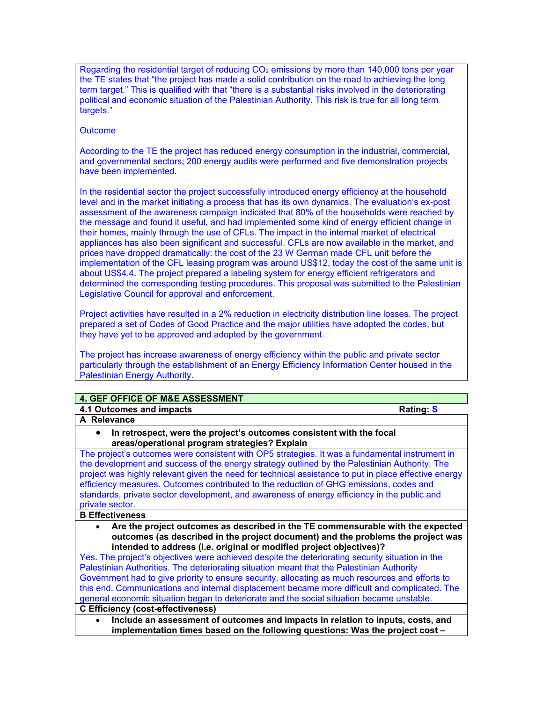Regarding the residential target of reducing  $CO<sub>2</sub>$  emissions by more than 140,000 tons per year the TE states that "the project has made a solid contribution on the road to achieving the long term target." This is qualified with that "there is a substantial risks involved in the deteriorating political and economic situation of the Palestinian Authority. This risk is true for all long term targets."

#### **Outcome**

According to the TE the project has reduced energy consumption in the industrial, commercial, and governmental sectors; 200 energy audits were performed and five demonstration projects have been implemented.

In the residential sector the project successfully introduced energy efficiency at the household level and in the market initiating a process that has its own dynamics. The evaluation's ex-post assessment of the awareness campaign indicated that 80% of the households were reached by the message and found it useful, and had implemented some kind of energy efficient change in their homes, mainly through the use of CFLs. The impact in the internal market of electrical appliances has also been significant and successful. CFLs are now available in the market, and prices have dropped dramatically: the cost of the 23 W German made CFL unit before the implementation of the CFL leasing program was around US\$12, today the cost of the same unit is about US\$4.4. The project prepared a labeling system for energy efficient refrigerators and determined the corresponding testing procedures. This proposal was submitted to the Palestinian Legislative Council for approval and enforcement.

Project activities have resulted in a 2% reduction in electricity distribution line losses. The project prepared a set of Codes of Good Practice and the major utilities have adopted the codes, but they have yet to be approved and adopted by the government.

The project has increase awareness of energy efficiency within the public and private sector particularly through the establishment of an Energy Efficiency Information Center housed in the Palestinian Energy Authority.

#### **4. GEF OFFICE OF M&E ASSESSMENT**

**4.1 Outcomes and impacts Rating: S**

**A Relevance** 

• **In retrospect, were the project's outcomes consistent with the focal areas/operational program strategies? Explain**

The project's outcomes were consistent with OP5 strategies. It was a fundamental instrument in the development and success of the energy strategy outlined by the Palestinian Authority. The project was highly relevant given the need for technical assistance to put in place effective energy efficiency measures. Outcomes contributed to the reduction of GHG emissions, codes and standards, private sector development, and awareness of energy efficiency in the public and private sector.

#### **B Effectiveness**

• **Are the project outcomes as described in the TE commensurable with the expected outcomes (as described in the project document) and the problems the project was intended to address (i.e. original or modified project objectives)?** 

Yes. The project's objectives were achieved despite the deteriorating security situation in the Palestinian Authorities. The deteriorating situation meant that the Palestinian Authority Government had to give priority to ensure security, allocating as much resources and efforts to this end. Communications and internal displacement became more difficult and complicated. The general economic situation began to deteriorate and the social situation became unstable. **C Efficiency (cost-effectiveness)** 

• **Include an assessment of outcomes and impacts in relation to inputs, costs, and implementation times based on the following questions: Was the project cost –**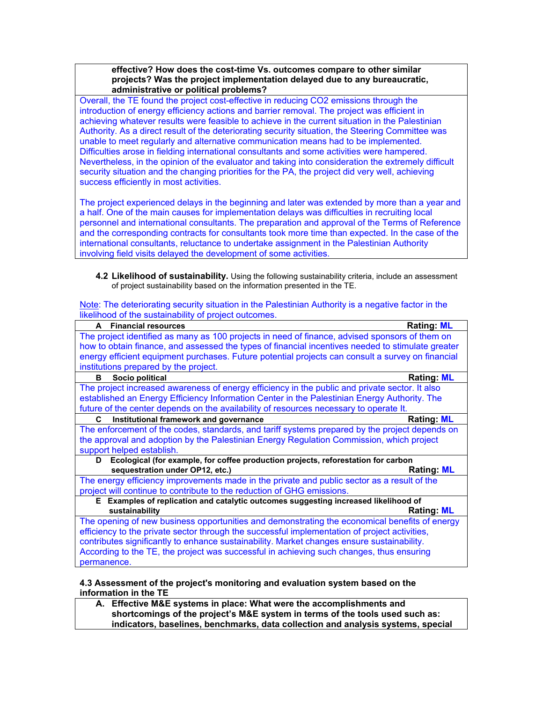**effective? How does the cost-time Vs. outcomes compare to other similar projects? Was the project implementation delayed due to any bureaucratic, administrative or political problems?**

Overall, the TE found the project cost-effective in reducing CO2 emissions through the introduction of energy efficiency actions and barrier removal. The project was efficient in achieving whatever results were feasible to achieve in the current situation in the Palestinian Authority. As a direct result of the deteriorating security situation, the Steering Committee was unable to meet regularly and alternative communication means had to be implemented. Difficulties arose in fielding international consultants and some activities were hampered. Nevertheless, in the opinion of the evaluator and taking into consideration the extremely difficult security situation and the changing priorities for the PA, the project did very well, achieving success efficiently in most activities.

The project experienced delays in the beginning and later was extended by more than a year and a half. One of the main causes for implementation delays was difficulties in recruiting local personnel and international consultants. The preparation and approval of the Terms of Reference and the corresponding contracts for consultants took more time than expected. In the case of the international consultants, reluctance to undertake assignment in the Palestinian Authority involving field visits delayed the development of some activities.

**4.2 Likelihood of sustainability.** Using the following sustainability criteria, include an assessment of project sustainability based on the information presented in the TE.

Note: The deteriorating security situation in the Palestinian Authority is a negative factor in the likelihood of the sustainability of project outcomes.

| <b>Financial resources</b><br>A                                                                   | <b>Rating: ML</b> |  |  |  |
|---------------------------------------------------------------------------------------------------|-------------------|--|--|--|
| The project identified as many as 100 projects in need of finance, advised sponsors of them on    |                   |  |  |  |
| how to obtain finance, and assessed the types of financial incentives needed to stimulate greater |                   |  |  |  |
| energy efficient equipment purchases. Future potential projects can consult a survey on financial |                   |  |  |  |
| institutions prepared by the project.                                                             |                   |  |  |  |
| Socio political<br>в                                                                              | <b>Rating: ML</b> |  |  |  |
| The project increased awareness of energy efficiency in the public and private sector. It also    |                   |  |  |  |
| established an Energy Efficiency Information Center in the Palestinian Energy Authority. The      |                   |  |  |  |
| future of the center depends on the availability of resources necessary to operate It.            |                   |  |  |  |
| Institutional framework and governance<br>C                                                       | <b>Rating: ML</b> |  |  |  |
| The enforcement of the codes, standards, and tariff systems prepared by the project depends on    |                   |  |  |  |
| the approval and adoption by the Palestinian Energy Regulation Commission, which project          |                   |  |  |  |
| support helped establish.                                                                         |                   |  |  |  |
| Ecological (for example, for coffee production projects, reforestation for carbon<br>D            |                   |  |  |  |
| sequestration under OP12, etc.)                                                                   | <b>Rating: ML</b> |  |  |  |
| The energy efficiency improvements made in the private and public sector as a result of the       |                   |  |  |  |
| project will continue to contribute to the reduction of GHG emissions.                            |                   |  |  |  |
| E Examples of replication and catalytic outcomes suggesting increased likelihood of               |                   |  |  |  |
| sustainability                                                                                    | <b>Rating: ML</b> |  |  |  |
| The opening of new business opportunities and demonstrating the economical benefits of energy     |                   |  |  |  |
| efficiency to the private sector through the successful implementation of project activities,     |                   |  |  |  |
| contributes significantly to enhance sustainability. Market changes ensure sustainability.        |                   |  |  |  |
| According to the TE, the project was successful in achieving such changes, thus ensuring          |                   |  |  |  |
| permanence.                                                                                       |                   |  |  |  |
| A 3 Accordent of the project's menitoring and evaluation system based on the                      |                   |  |  |  |

**4.3 Assessment of the project's monitoring and evaluation system based on the information in the TE** 

**A. Effective M&E systems in place: What were the accomplishments and shortcomings of the project's M&E system in terms of the tools used such as: indicators, baselines, benchmarks, data collection and analysis systems, special**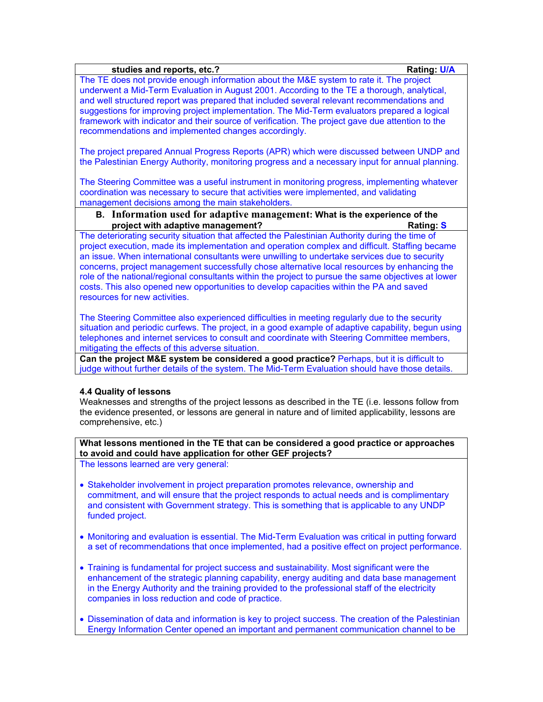# **studies and reports, etc.? Rating: U/A** The TE does not provide enough information about the M&E system to rate it. The project underwent a Mid-Term Evaluation in August 2001. According to the TE a thorough, analytical, and well structured report was prepared that included several relevant recommendations and suggestions for improving project implementation. The Mid-Term evaluators prepared a logical framework with indicator and their source of verification. The project gave due attention to the recommendations and implemented changes accordingly. The project prepared Annual Progress Reports (APR) which were discussed between UNDP and the Palestinian Energy Authority, monitoring progress and a necessary input for annual planning. The Steering Committee was a useful instrument in monitoring progress, implementing whatever coordination was necessary to secure that activities were implemented, and validating management decisions among the main stakeholders. **B. Information used for adaptive management: What is the experience of the project with adaptive management? Rating: Rating: S** The deteriorating security situation that affected the Palestinian Authority during the time of

project execution, made its implementation and operation complex and difficult. Staffing became an issue. When international consultants were unwilling to undertake services due to security concerns, project management successfully chose alternative local resources by enhancing the role of the national/regional consultants within the project to pursue the same objectives at lower costs. This also opened new opportunities to develop capacities within the PA and saved resources for new activities.

The Steering Committee also experienced difficulties in meeting regularly due to the security situation and periodic curfews. The project, in a good example of adaptive capability, begun using telephones and internet services to consult and coordinate with Steering Committee members, mitigating the effects of this adverse situation.

**Can the project M&E system be considered a good practice?** Perhaps, but it is difficult to judge without further details of the system. The Mid-Term Evaluation should have those details.

# **4.4 Quality of lessons**

Weaknesses and strengths of the project lessons as described in the TE (i.e. lessons follow from the evidence presented, or lessons are general in nature and of limited applicability, lessons are comprehensive, etc.)

**What lessons mentioned in the TE that can be considered a good practice or approaches to avoid and could have application for other GEF projects?**

The lessons learned are very general:

- Stakeholder involvement in project preparation promotes relevance, ownership and commitment, and will ensure that the project responds to actual needs and is complimentary and consistent with Government strategy. This is something that is applicable to any UNDP funded project.
- Monitoring and evaluation is essential. The Mid-Term Evaluation was critical in putting forward a set of recommendations that once implemented, had a positive effect on project performance.
- Training is fundamental for project success and sustainability. Most significant were the enhancement of the strategic planning capability, energy auditing and data base management in the Energy Authority and the training provided to the professional staff of the electricity companies in loss reduction and code of practice.
- Dissemination of data and information is key to project success. The creation of the Palestinian Energy Information Center opened an important and permanent communication channel to be